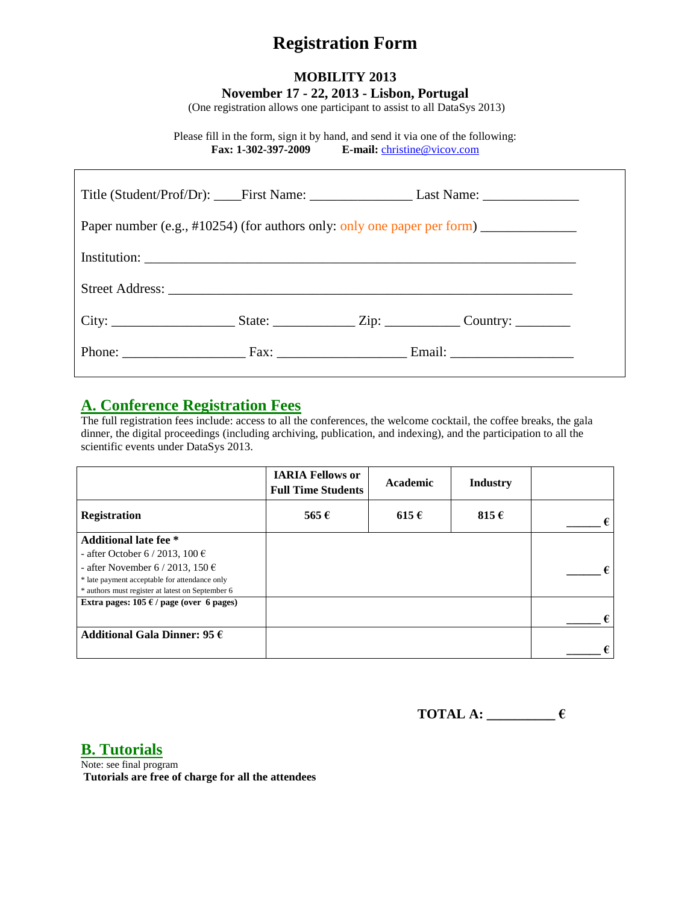## **Registration Form**

## **MOBILITY 2013 November 17 - 22, 2013 - Lisbon, Portugal**

(One registration allows one participant to assist to all DataSys 2013)

Please fill in the form, sign it by hand, and send it via one of the following: **Fax: 1-302-397-2009 E-mail:** [christine@vicov.com](mailto:christine@vicov.com)

| Paper number (e.g., #10254) (for authors only: only one paper per form) _______________ |  |  |  |  |  |
|-----------------------------------------------------------------------------------------|--|--|--|--|--|
|                                                                                         |  |  |  |  |  |
|                                                                                         |  |  |  |  |  |
|                                                                                         |  |  |  |  |  |
|                                                                                         |  |  |  |  |  |

## **A. Conference Registration Fees**

The full registration fees include: access to all the conferences, the welcome cocktail, the coffee breaks, the gala dinner, the digital proceedings (including archiving, publication, and indexing), and the participation to all the scientific events under DataSys 2013.

|                                                  | <b>IARIA Fellows or</b><br><b>Full Time Students</b> | Academic  | <b>Industry</b> |            |
|--------------------------------------------------|------------------------------------------------------|-----------|-----------------|------------|
| <b>Registration</b>                              | 565 $\epsilon$                                       | $615 \in$ | 815 $\epsilon$  | $\epsilon$ |
| <b>Additional late fee</b> *                     |                                                      |           |                 |            |
| - after October 6 / 2013, 100 $\epsilon$         |                                                      |           |                 |            |
| - after November 6 / 2013, 150 $\in$             |                                                      |           |                 |            |
| * late payment acceptable for attendance only    |                                                      |           |                 |            |
| * authors must register at latest on September 6 |                                                      |           |                 |            |
| Extra pages: $105 \in \ell$ page (over 6 pages)  |                                                      |           |                 |            |
|                                                  |                                                      |           |                 | €          |
| Additional Gala Dinner: 95 $\epsilon$            |                                                      |           |                 |            |
|                                                  |                                                      |           |                 | €          |

**TOTAL A: \_\_\_\_\_\_\_\_\_\_ €**

**B. Tutorials**

Note: see final program **Tutorials are free of charge for all the attendees**